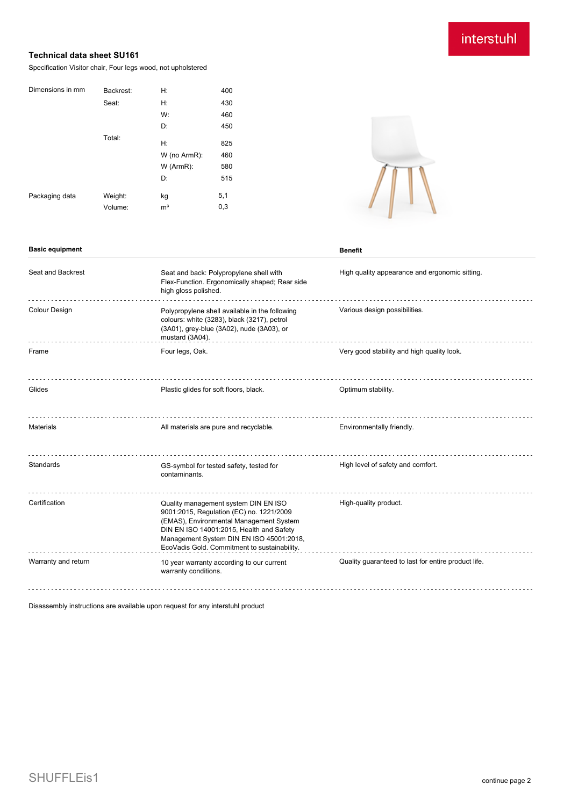## interstuhl

## **Technical data sheet SU161**

Specification Visitor chair, Four legs wood, not upholstered

| Dimensions in mm | Backrest: | H:             | 400 |
|------------------|-----------|----------------|-----|
|                  | Seat:     | H:             | 430 |
|                  |           | W:             | 460 |
|                  |           | D:             | 450 |
|                  | Total:    |                |     |
|                  |           | H:             | 825 |
|                  |           | W (no ArmR):   | 460 |
|                  |           | $W$ (ArmR):    | 580 |
|                  |           | D:             | 515 |
| Packaging data   | Weight:   | kg             | 5,1 |
|                  | Volume:   | m <sup>3</sup> | 0,3 |

**Basic equipment Benefit** 



| Seat and Backrest    | Seat and back: Polypropylene shell with<br>Flex-Function. Ergonomically shaped; Rear side<br>high gloss polished.                                                                                                                                                   | High quality appearance and ergonomic sitting.      |
|----------------------|---------------------------------------------------------------------------------------------------------------------------------------------------------------------------------------------------------------------------------------------------------------------|-----------------------------------------------------|
| <b>Colour Design</b> | Polypropylene shell available in the following<br>colours: white (3283), black (3217), petrol<br>(3A01), grey-blue (3A02), nude (3A03), or<br>mustard (3A04).                                                                                                       | Various design possibilities.                       |
| Frame                | Four legs, Oak.                                                                                                                                                                                                                                                     | Very good stability and high quality look.          |
| Glides               | Plastic glides for soft floors, black.                                                                                                                                                                                                                              | Optimum stability.                                  |
| <b>Materials</b>     | All materials are pure and recyclable.                                                                                                                                                                                                                              | Environmentally friendly.                           |
| Standards            | GS-symbol for tested safety, tested for<br>contaminants.                                                                                                                                                                                                            | High level of safety and comfort.                   |
| Certification        | Quality management system DIN EN ISO<br>9001:2015, Regulation (EC) no. 1221/2009<br>(EMAS), Environmental Management System<br>DIN EN ISO 14001:2015, Health and Safety<br>Management System DIN EN ISO 45001:2018,<br>EcoVadis Gold. Commitment to sustainability. | High-quality product.                               |
| Warranty and return  | 10 year warranty according to our current<br>warranty conditions.                                                                                                                                                                                                   | Quality guaranteed to last for entire product life. |
|                      |                                                                                                                                                                                                                                                                     |                                                     |

Disassembly instructions are available upon request for any interstuhl product